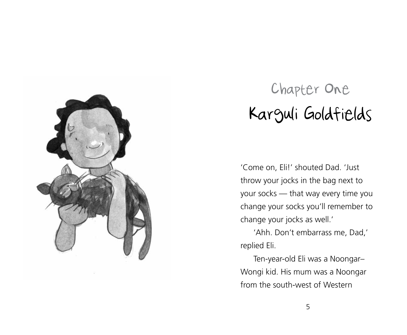

## Chapter One Karguli Goldfields

'Come on, Eli!' shouted Dad. 'Just throw your jocks in the bag next to your socks — that way every time you change your socks you'll remember to change your jocks as well.'

'Ahh. Don't embarrass me, Dad,' replied Eli.

Ten-year-old Eli was a Noongar– Wongi kid. His mum was a Noongar from the south-west of Western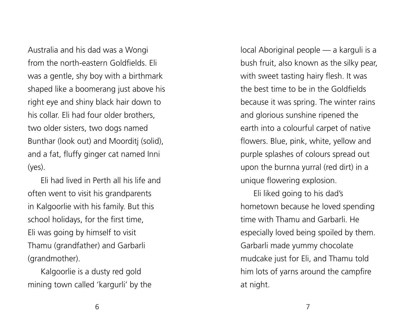Australia and his dad was a Wongi from the north-eastern Goldfields. Eli was a gentle, shy boy with a birthmark shaped like a boomerang just above his right eye and shiny black hair down to his collar. Eli had four older brothers, two older sisters, two dogs named Bunthar (look out) and Moorditj (solid), and a fat, fluffy ginger cat named Inni (yes).

Eli had lived in Perth all his life and often went to visit his grandparents in Kalgoorlie with his family. But this school holidays, for the first time, Eli was going by himself to visit Thamu (grandfather) and Garbarli (grandmother).

Kalgoorlie is a dusty red gold mining town called 'kargurli' by the local Aboriginal people — a karguli is a bush fruit, also known as the silky pear, with sweet tasting hairy flesh. It was the best time to be in the Goldfields because it was spring. The winter rains and glorious sunshine ripened the earth into a colourful carpet of native flowers. Blue, pink, white, yellow and purple splashes of colours spread out upon the burnna yurral (red dirt) in a unique flowering explosion.

Eli liked going to his dad's hometown because he loved spending time with Thamu and Garbarli. He especially loved being spoiled by them. Garbarli made yummy chocolate mudcake just for Eli, and Thamu told him lots of yarns around the campfire at night.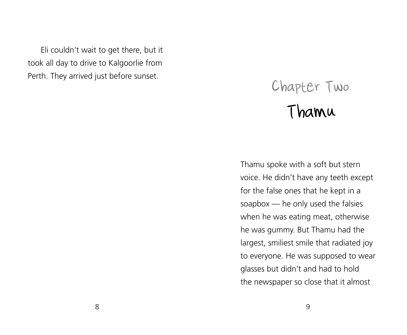Eli couldn't wait to get there, but it took all day to drive to Kalgoorlie from Perth. They arrived just before sunset.

## Chapter Two Thamu

Thamu spoke with a soft but stern voice. He didn't have any teeth except for the false ones that he kept in a soapbox — he only used the falsies when he was eating meat, otherwise he was gummy. But Thamu had the largest, smiliest smile that radiated joy to everyone. He was supposed to wear glasses but didn't and had to hold the newspaper so close that it almost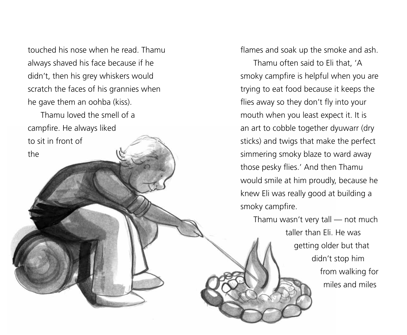touched his nose when he read. Thamu always shaved his face because if he didn't, then his grey whiskers would scratch the faces of his grannies when he gave them an oohba (kiss).

Thamu loved the smell of a campfire. He always liked to sit in front of the

flames and soak up the smoke and ash.

Thamu often said to Eli that, 'A smoky campfire is helpful when you are trying to eat food because it keeps the flies away so they don't fly into your mouth when you least expect it. It is an art to cobble together dyuwarr (dry sticks) and twigs that make the perfect simmering smoky blaze to ward away those pesky flies.' And then Thamu would smile at him proudly, because he knew Eli was really good at building a smoky campfire.

Thamu wasn't very tall — not much taller than Eli. He was getting older but that didn't stop him from walking for miles and miles

 $\sim$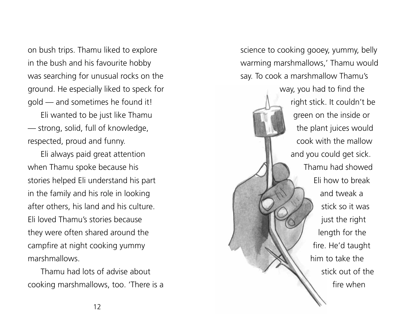on bush trips. Thamu liked to explore in the bush and his favourite hobby was searching for unusual rocks on the ground. He especially liked to speck for gold — and sometimes he found it!

Eli wanted to be just like Thamu — strong, solid, full of knowledge, respected, proud and funny.

Eli always paid great attention when Thamu spoke because his stories helped Eli understand his part in the family and his role in looking after others, his land and his culture. Eli loved Thamu's stories because they were often shared around the campfire at night cooking yummy marshmallows.

Thamu had lots of advise about cooking marshmallows, too. 'There is a science to cooking gooey, yummy, belly warming marshmallows,' Thamu would say. To cook a marshmallow Thamu's

> way, you had to find the right stick. It couldn't be green on the inside or the plant juices would cook with the mallow and you could get sick. Thamu had showed Eli how to break and tweak a stick so it was just the right length for the fire. He'd taught him to take the stick out of the fire when